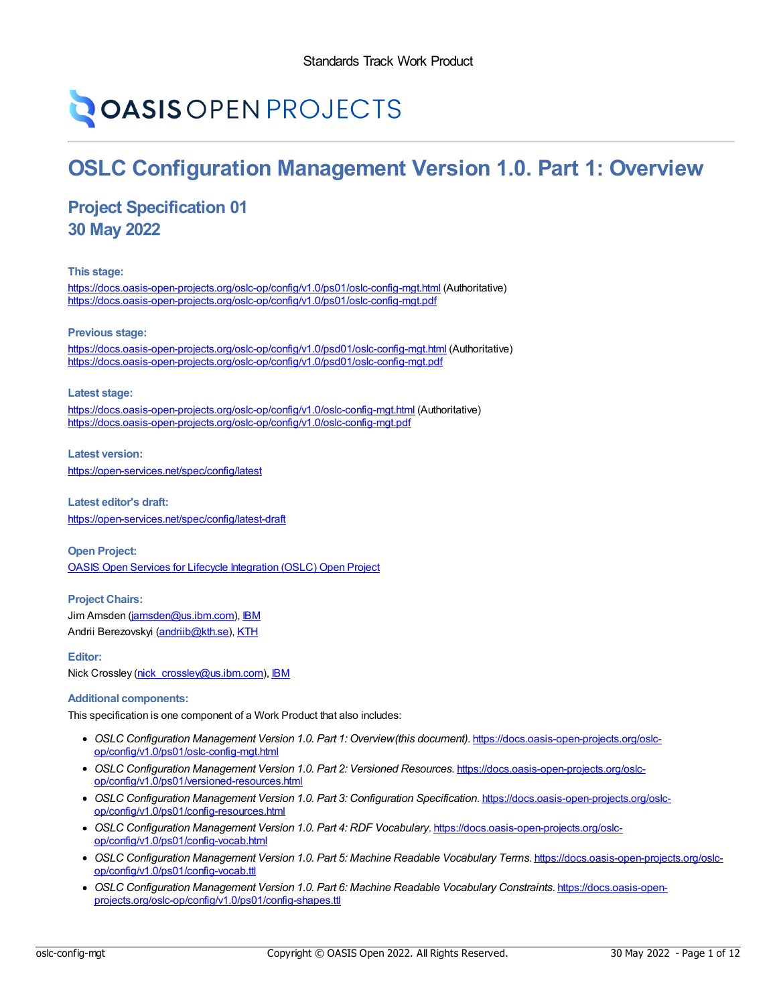# **OASIS OPEN PROJECTS**

# **OSLC Configuration Management Version 1.0. Part 1: Overview**

# **Project Specification 01 30 May 2022**

**This stage:**

<https://docs.oasis-open-projects.org/oslc-op/config/v1.0/ps01/oslc-config-mgt.html> (Authoritative) <https://docs.oasis-open-projects.org/oslc-op/config/v1.0/ps01/oslc-config-mgt.pdf>

**Previous stage:**

<https://docs.oasis-open-projects.org/oslc-op/config/v1.0/psd01/oslc-config-mgt.html> (Authoritative) <https://docs.oasis-open-projects.org/oslc-op/config/v1.0/psd01/oslc-config-mgt.pdf>

**Latest stage:**

<https://docs.oasis-open-projects.org/oslc-op/config/v1.0/oslc-config-mgt.html> (Authoritative) <https://docs.oasis-open-projects.org/oslc-op/config/v1.0/oslc-config-mgt.pdf>

**Latest version:** <https://open-services.net/spec/config/latest>

**Latest editor's draft:** <https://open-services.net/spec/config/latest-draft>

**Open Project:** OASIS Open Services for Lifecycle [Integration](https://open-services.net/about/) (OSLC) Open Project

**Project Chairs:** Jim Amsden ([jamsden@us.ibm.com](mailto:jamsden@us.ibm.com)), [IBM](https://www.ibm.com/) Andrii Berezovskyi [\(andriib@kth.se](mailto:andriib@kth.se)), [KTH](https://www.kth.se/en)

**Editor:**

Nick Crossley [\(nick\\_crossley@us.ibm.com](mailto:nick_crossley@us.ibm.com)), [IBM](https://ibm.com/)

#### **Additional components:**

This specification is one component of a Work Product that also includes:

- *OSLC Configuration Management Version 1.0. Part 1: Overview(this document)*. [https://docs.oasis-open-projects.org/oslc](https://docs.oasis-open-projects.org/oslc-op/config/v1.0/ps01/oslc-config-mgt.html)op/config/v1.0/ps01/oslc-config-mgt.html
- *OSLC Configuration Management Version 1.0. Part 2: Versioned Resources*. https://docs.oasis-open-projects.org/oslc[op/config/v1.0/ps01/versioned-resources.html](https://docs.oasis-open-projects.org/oslc-op/config/v1.0/ps01/versioned-resources.html)
- *OSLC Configuration Management Version 1.0. Part 3: Configuration Specification*. [https://docs.oasis-open-projects.org/oslc](https://docs.oasis-open-projects.org/oslc-op/config/v1.0/ps01/config-resources.html)op/config/v1.0/ps01/config-resources.html
- *OSLC Configuration Management Version 1.0. Part 4: RDF Vocabulary*. [https://docs.oasis-open-projects.org/oslc](https://docs.oasis-open-projects.org/oslc-op/config/v1.0/ps01/config-vocab.html)op/config/v1.0/ps01/config-vocab.html
- *OSLC Configuration Management Version 1.0. Part 5: Machine Readable Vocabulary Terms*. [https://docs.oasis-open-projects.org/oslc](https://docs.oasis-open-projects.org/oslc-op/config/v1.0/ps01/config-vocab.ttl)op/config/v1.0/ps01/config-vocab.ttl
- *OSLC Configuration Management Version 1.0. Part 6: Machine Readable Vocabulary Constraints*. https://docs.oasis-open[projects.org/oslc-op/config/v1.0/ps01/config-shapes.ttl](https://docs.oasis-open-projects.org/oslc-op/config/v1.0/ps01/config-shapes.ttl)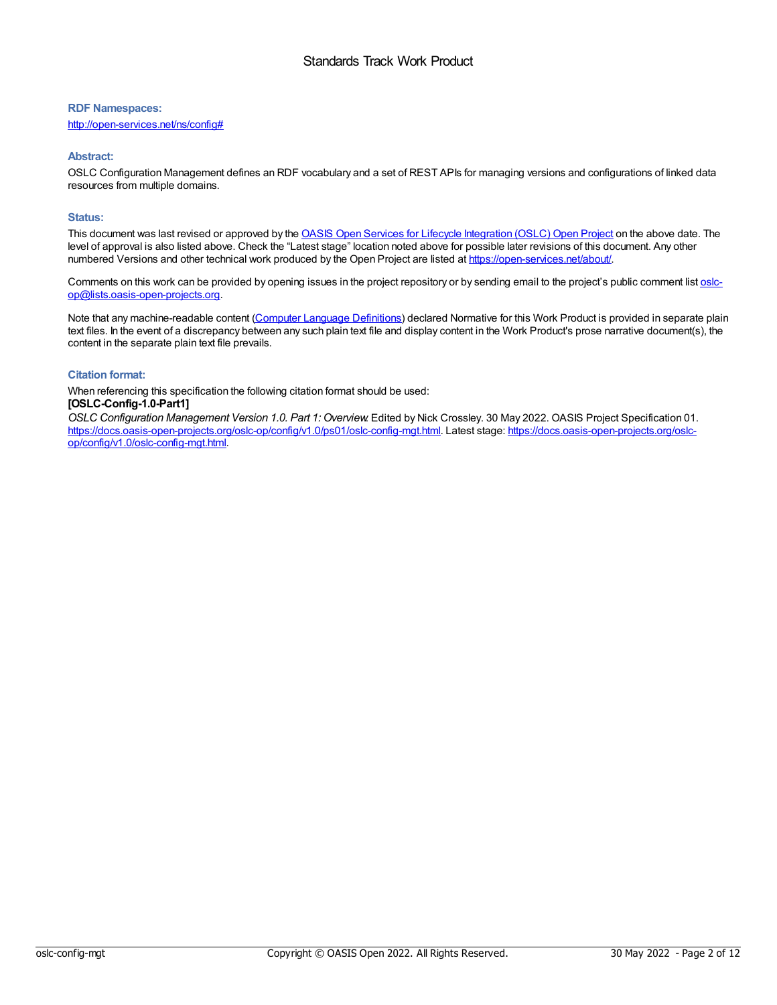#### **RDF Namespaces:**

<http://open-services.net/ns/config#>

#### **Abstract:**

OSLC Configuration Management defines an RDF vocabulary and a set of REST APIs for managing versions and configurations of linked data resources from multiple domains.

#### **Status:**

This document was last revised or approved by the OASIS Open Services for Lifecycle [Integration](https://open-services.net/about/) (OSLC) Open Project on the above date. The level of approval is also listed above. Check the "Latest stage" location noted above for possible later revisions of this document. Any other numbered Versions and other technical work produced by the Open Project are listed at <https://open-services.net/about/>.

Comments on this work can be provided by opening issues in the project repository or by sending email to the project's public comment list oslc[op@lists.oasis-open-projects.org.](mailto:oslc-op@lists.oasis-open-projects.org)

Note that any machine-readable content (Computer Language [Definitions](https://www.oasis-open.org/policies-guidelines/tc-process-2017-05-26/#wpComponentsCompLang)) declared Normative for this Work Product is provided in separate plain text files. In the event of a discrepancy between any such plain text file and display content in the Work Product's prose narrative document(s), the content in the separate plain text file prevails.

#### **Citation format:**

When referencing this specification the following citation format should be used:

#### **[OSLC-Config-1.0-Part1]**

*OSLC Configuration Management Version 1.0. Part 1: Overview*. Edited by Nick Crossley. 30 May 2022. OASIS Project Specification 01. [https://docs.oasis-open-projects.org/oslc-op/config/v1.0/ps01/oslc-config-mgt.html.](https://docs.oasis-open-projects.org/oslc-op/config/v1.0/oslc-config-mgt.html) Latest stage: https://docs.oasis-open-projects.org/oslcop/config/v1.0/oslc-config-mgt.html.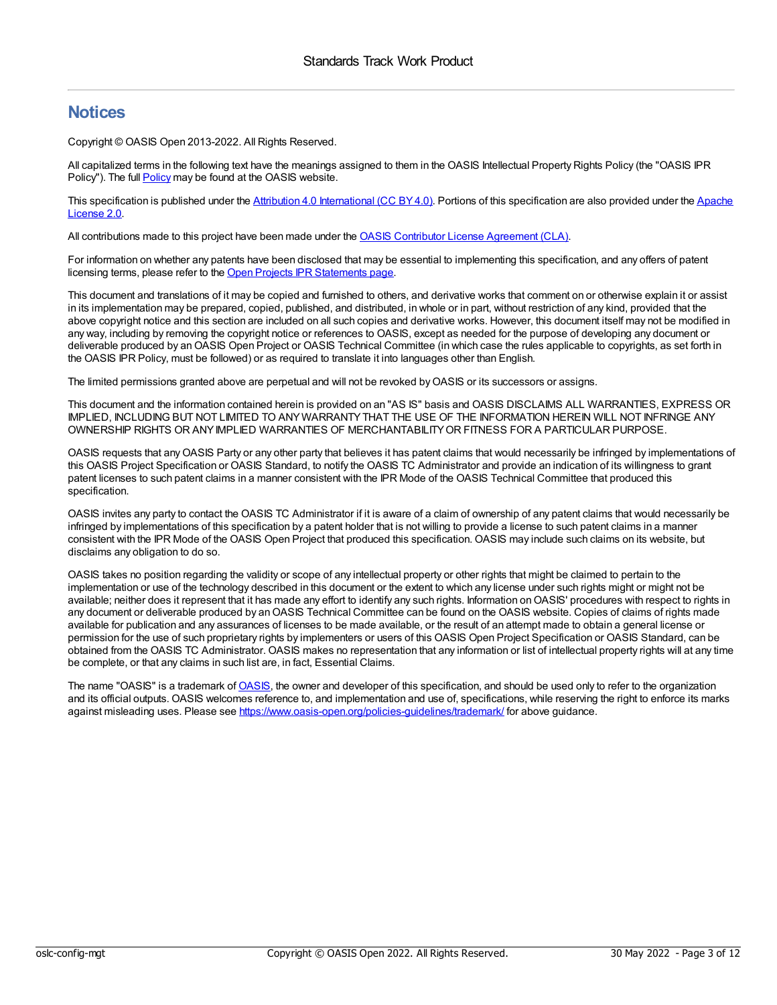### **Notices**

Copyright © OASIS Open 2013-2022. All Rights Reserved.

All capitalized terms in the following text have the meanings assigned to them in the OASIS Intellectual Property Rights Policy (the "OASIS IPR Policy"). The full [Policy](https://www.oasis-open.org/policies-guidelines/ipr/) may be found at the OASIS website.

This specification is published under the Attribution 4.0 [International](https://creativecommons.org/licenses/by/4.0/legalcode) (CC BY4.0). Portions of this [specification](https://www.apache.org/licenses/LICENSE-2.0) are also provided under the Apache License 2.0.

All contributions made to this project have been made under the OASIS Contributor License [Agreement](https://www.oasis-open.org/policies-guidelines/open-projects-process/#individual-cla-exhibit) (CLA).

For information on whether any patents have been disclosed that may be essential to implementing this specification, and any offers of patent licensing terms, please refer to the Open Projects IPR [Statements](https://github.com/oasis-open-projects/administration/blob/master/IPR_STATEMENTS.md#open-services-for-lifecycle-collaboration-oslc-open-project) page.

This document and translations of it may be copied and furnished to others, and derivative works that comment on or otherwise explain it or assist in its implementation may be prepared, copied, published, and distributed, in whole or in part, without restriction of any kind, provided that the above copyright notice and this section are included on all such copies and derivative works. However, this document itself may not be modified in any way, including by removing the copyright notice or references to OASIS, except as needed for the purpose of developing any document or deliverable produced by anOASIS Open Project or OASIS Technical Committee (in which case the rules applicable to copyrights, as set forth in the OASIS IPR Policy, must be followed) or as required to translate it into languages other than English.

The limited permissions granted above are perpetual and will not be revoked byOASIS or its successors or assigns.

This document and the information contained herein is provided on an "AS IS" basis and OASIS DISCLAIMS ALL WARRANTIES, EXPRESS OR IMPLIED, INCLUDING BUT NOT LIMITED TO ANYWARRANTYTHAT THE USE OF THE INFORMATION HEREIN WILL NOT INFRINGE ANY OWNERSHIP RIGHTS OR ANYIMPLIED WARRANTIES OF MERCHANTABILITYOR FITNESS FOR A PARTICULAR PURPOSE.

OASIS requests that anyOASIS Party or any other party that believes it has patent claims that would necessarily be infringed by implementations of this OASIS Project Specification or OASIS Standard, to notify the OASIS TC Administrator and provide an indication of its willingness to grant patent licenses to such patent claims in a manner consistent with the IPR Mode of the OASIS Technical Committee that produced this specification.

OASIS invites any party to contact the OASIS TC Administrator if it is aware of a claim of ownership of any patent claims that would necessarily be infringed by implementations of this specification by a patent holder that is not willing to provide a license to such patent claims in a manner consistent with the IPR Mode of the OASIS Open Project that produced this specification. OASIS may include such claims on its website, but disclaims any obligation to do so.

OASIS takes no position regarding the validity or scope of any intellectual property or other rights that might be claimed to pertain to the implementation or use of the technology described in this document or the extent to which any license under such rights might or might not be available; neither does it represent that it has made any effort to identify any such rights. Information on OASIS' procedures with respect to rights in any document or deliverable produced by an OASIS Technical Committee can be found on the OASIS website. Copies of claims of rights made available for publication and any assurances of licenses to be made available, or the result of an attempt made to obtain a general license or permission for the use of such proprietary rights by implementers or users of this OASIS Open Project Specification or OASIS Standard, can be obtained from the OASIS TC Administrator. OASIS makes no representation that any information or list of intellectual property rights will at any time be complete, or that any claims in such list are, in fact, Essential Claims.

The name "[OASIS](https://www.oasis-open.org)" is a trademark of OASIS, the owner and developer of this specification, and should be used only to refer to the organization and its official outputs. OASIS welcomes reference to, and implementation and use of, specifications, while reserving the right to enforce its marks against misleading uses. Please see <https://www.oasis-open.org/policies-guidelines/trademark/> for above guidance.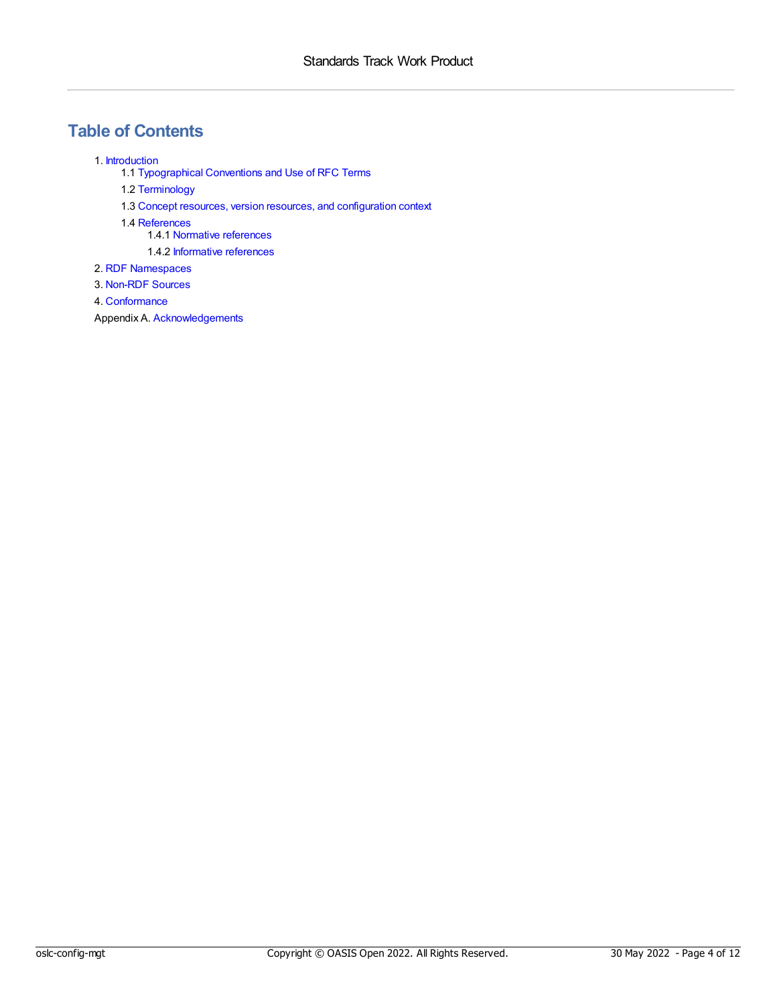# **Table of Contents**

- 1. [Introduction](#page-5-0)
	- 1.1 [Typographical](#page-4-0) Conventions and Use of RFC Terms
	- 1.2 [Terminology](#page-5-1)
	- 1.3 Concept resources, version resources, and [configuration](#page-6-0) context
	- 1.4 [References](#page-7-0)
		- 1.4.1 Normative [references](#page-7-1)
		- 1.4.2 [Informative](#page-7-2) references
- 2. RDF [Namespaces](#page-8-0)
- 3. [Non-RDF](#page-9-0) Sources
- 4. [Conformance](#page-10-0)
- Appendix A. [Acknowledgements](#page-11-0)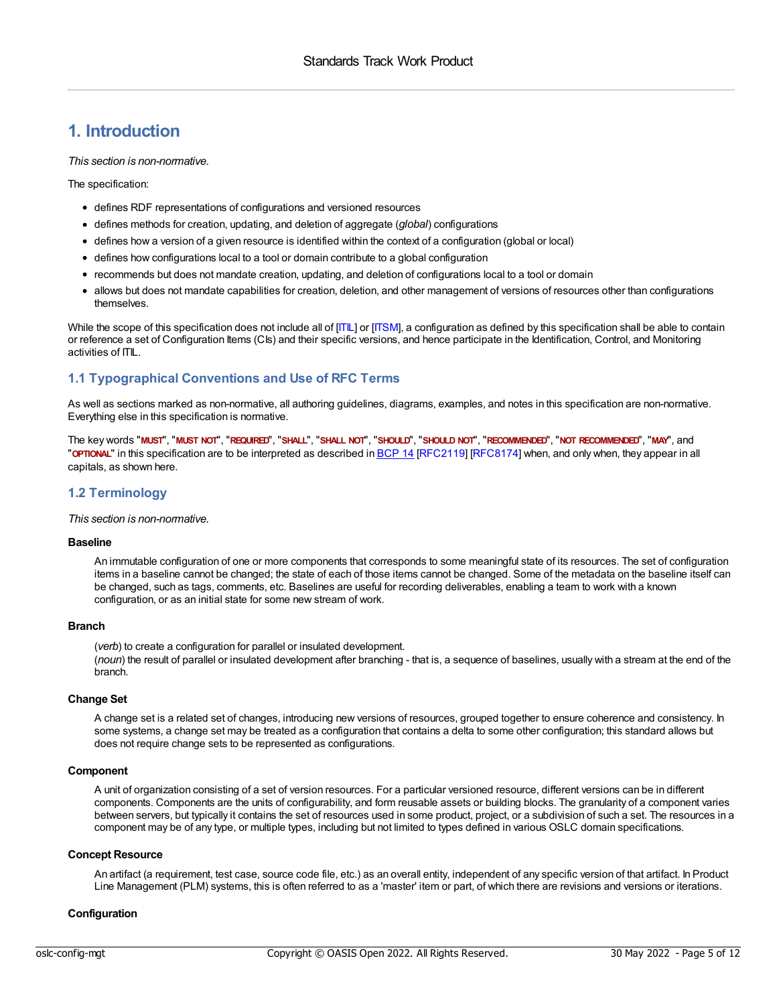## **1. Introduction**

*This section is non-normative.*

The specification:

- defines RDF representations of configurations and versioned resources
- defines methods for creation, updating, and deletion of aggregate (*global*) configurations
- defines how a version of a given resource is identified within the context of a configuration (global or local)
- defines how configurations local to a tool or domain contribute to a global configuration
- recommends but does not mandate creation, updating, and deletion of configurations local to a tool or domain
- allows but does not mandate capabilities for creation, deletion, and other management of versions of resources other than configurations themselves.

While the scope of this specification does not include all of [\[ITIL](#page-7-3)] or [\[ITSM\]](#page-7-4), a configuration as defined by this specification shall be able to contain or reference a set of Configuration Items (CIs) and their specific versions, and hence participate in the Identification, Control, and Monitoring activities of ITIL.

#### <span id="page-4-0"></span>**1.1 Typographical Conventions and Use of RFC Terms**

As well as sections marked as non-normative, all authoring guidelines, diagrams, examples, and notes in this specification are non-normative. Everything else in this specification is normative.

The key words "MUST", "MUST NOT", "REQUIRED", "SHALL", "SHALL NOT", "SHOULD", "SHOULD NOT", "RECOMMENDED", "MOT RECOMMENDED", "MAY", and "**OPTIONAL**" in this specification are to be interpreted as described in [BCP](https://tools.ietf.org/html/bcp14) 14 [\[RFC2119](#page-7-5)] [[RFC8174](#page-7-6)] when, and only when, they appear in all capitals, as shown here.

#### **1.2 Terminology**

*This section is non-normative.*

#### **Baseline**

An immutable configuration of one or more components that corresponds to some meaningful state of its resources. The set of configuration items in a baseline cannot be changed; the state of each of those items cannot be changed. Some of the metadata on the baseline itself can be changed, such as tags, comments, etc. Baselines are useful for recording deliverables, enabling a team to work with a known configuration, or as an initial state for some new stream of work.

#### **Branch**

(*verb*) to create a configuration for parallel or insulated development. (*noun*) the result of parallel or insulated development after branching - that is, a sequence of baselines, usually with a stream at the end of the branch.

#### **Change Set**

A change set is a related set of changes, introducing new versions of resources, grouped together to ensure coherence and consistency. In some systems, a change set may be treated as a configuration that contains a delta to some other configuration; this standard allows but does not require change sets to be represented as configurations.

#### **Component**

A unit of organization consisting of a set of version resources. For a particular versioned resource, different versions can be in different components. Components are the units of configurability, and form reusable assets or building blocks. The granularity of a component varies between servers, but typically it contains the set of resources used in some product, project, or a subdivision of such a set. The resources in a component may be of any type, or multiple types, including but not limited to types defined in various OSLC domain specifications.

#### **Concept Resource**

An artifact (a requirement, test case, source code file, etc.) as an overall entity, independent of any specific version of that artifact. In Product Line Management (PLM) systems, this is often referred to as a 'master' item or part, of which there are revisions and versions or iterations.

#### **Configuration**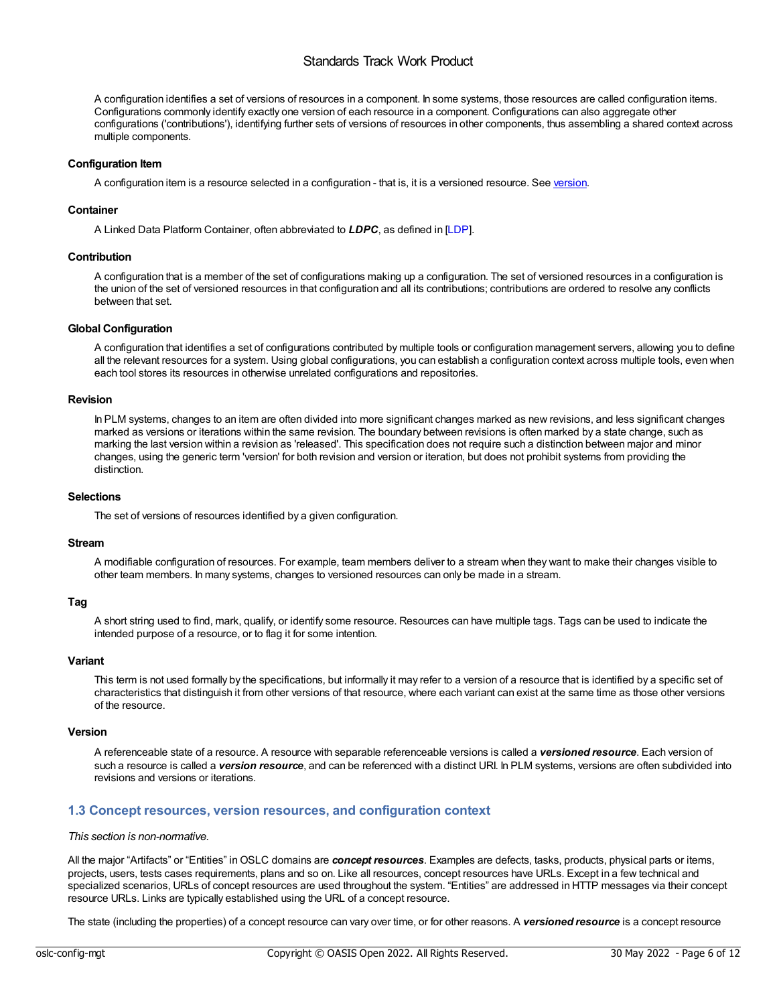#### <span id="page-5-0"></span>Standards Track Work Product

<span id="page-5-1"></span>A configuration identifies a set of versions of resources in a component. In some systems, those resources are called configuration items. Configurations commonly identify exactly one version of each resource in a component. Configurations can also aggregate other configurations ('contributions'), identifying further sets of versions of resources in other components, thus assembling a shared context across multiple components.

#### **Configuration Item**

A configuration item is a resource selected in a configuration - that is, it is a [version](#page-5-2)ed resource. See version.

#### **Container**

A Linked Data Platform Container, often abbreviated to *LDPC*, as defined in [\[LDP](#page-7-7)].

#### **Contribution**

A configuration that is a member of the set of configurations making up a configuration. The set of versioned resources in a configuration is the union of the set of versioned resources in that configuration and all its contributions; contributions are ordered to resolve any conflicts between that set.

#### **Global Configuration**

A configuration that identifies a set of configurations contributed by multiple tools or configuration management servers, allowing you to define all the relevant resources for a system. Using global configurations, you can establish a configuration context across multiple tools, even when each tool stores its resources in otherwise unrelated configurations and repositories.

#### **Revision**

In PLM systems, changes to an item are often divided into more significant changes marked as new revisions, and less significant changes marked as versions or iterations within the same revision. The boundary between revisions is often marked by a state change, such as marking the last version within a revision as 'released'. This specification does not require such a distinction between major and minor changes, using the generic term 'version' for both revision and version or iteration, but does not prohibit systems from providing the distinction.

#### **Selections**

The set of versions of resources identified by a given configuration.

#### **Stream**

A modifiable configuration of resources. For example, team members deliver to a stream when they want to make their changes visible to other team members. In many systems, changes to versioned resources can only be made in a stream.

#### **Tag**

A short string used to find, mark, qualify, or identify some resource. Resources can have multiple tags. Tags can be used to indicate the intended purpose of a resource, or to flag it for some intention.

#### **Variant**

This term is not used formally by the specifications, but informally it may refer to a version of a resource that is identified by a specific set of characteristics that distinguish it from other versions of that resource, where each variant can exist at the same time as those other versions of the resource.

#### <span id="page-5-2"></span>**Version**

A referenceable state of a resource. A resource with separable referenceable versions is called a *versioned resource*. Each version of such a resource is called a *version resource*, and can be referenced with a distinct URI. In PLM systems, versions are often subdivided into revisions and versions or iterations.

#### **1.3 Concept resources, version resources, and configuration context**

#### *This section is non-normative.*

All the major "Artifacts" or "Entities" inOSLC domains are *concept resources*. Examples are defects, tasks, products, physical parts or items, projects, users, tests cases requirements, plans and so on. Like all resources, concept resources have URLs. Except in a few technical and specialized scenarios, URLs of concept resources are used throughout the system. "Entities" are addressed in HTTP messages via their concept resource URLs. Links are typically established using the URL of a concept resource.

The state (including the properties) of a concept resource can vary over time, or for other reasons. A *versioned resource* is a concept resource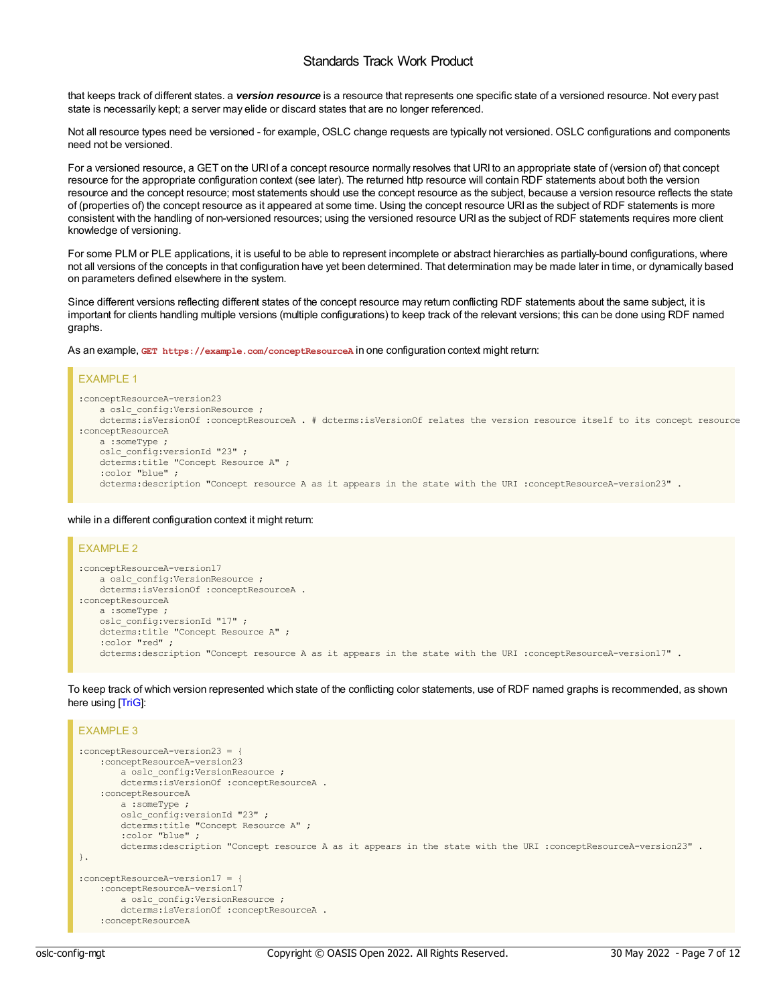#### Standards Track Work Product

<span id="page-6-0"></span>that keeps track of different states. a *version resource* is a resource that represents one specific state of a versioned resource. Not every past state is necessarily kept; a server may elide or discard states that are no longer referenced.

Not all resource types need be versioned - for example, OSLC change requests are typically not versioned. OSLC configurations and components need not be versioned.

For a versioned resource, a GET on the URI of a concept resource normally resolves that URI to an appropriate state of (version of) that concept resource for the appropriate configuration context (see later). The returned http resource will contain RDF statements about both the version resource and the concept resource; most statements should use the concept resource as the subject, because a version resource reflects the state of (properties of) the concept resource as it appeared at some time. Using the concept resource URI as the subject of RDF statements is more consistent with the handling of non-versioned resources; using the versioned resource URI as the subject of RDF statements requires more client knowledge of versioning.

For some PLM or PLE applications, it is useful to be able to represent incomplete or abstract hierarchies as partially-bound configurations, where not all versions of the concepts in that configuration have yet been determined. That determination may be made later in time, or dynamically based on parameters defined elsewhere in the system.

Since different versions reflecting different states of the concept resource may return conflicting RDF statements about the same subject, it is important for clients handling multiple versions (multiple configurations) to keep track of the relevant versions; this can be done using RDF named graphs.

As an example, **GET https://example.com/conceptResourceA** in one configuration context might return:

#### EXAMPLE 1 :conceptResourceA-version23 a oslc\_config:VersionResource ; dcterms:isVersionOf :conceptResourceA . # dcterms:isVersionOf relates the version resource itself to its concept resource :conceptResourceA a :someType ; oslc\_config:versionId "23" ; dcterms:title "Concept Resource A" ; :color "blue" ; dcterms:description "Concept resource A as it appears in the state with the URI :conceptResourceA-version23" .

#### while in a different configuration context it might return:

```
EXAMPLE 2
:conceptResourceA-version17
   a oslc_config:VersionResource ;
   dcterms:isVersionOf :conceptResourceA .
:conceptResourceA
   a :someType ;
   oslc_config:versionId "17" ;
   dcterms:title "Concept Resource A" ;
    :color "red" ;
    dcterms:description "Concept resource A as it appears in the state with the URI :conceptResourceA-version17" .
```
To keep track of which version represented which state of the conflicting color statements, use of RDF named graphs is recommended, as shown here using [\[TriG](#page-7-8)]:

```
EXAMPLE 3
:conceptResourceA-version23 = {
    :conceptResourceA-version23
        a oslc_config:VersionResource ;
        dcterms:isVersionOf :conceptResourceA .
    :conceptResourceA
       a :someType ;
       oslc_config:versionId "23" ;
        dcterms:title "Concept Resource A" ;
        :color "blue" ;
        dcterms:description "Concept resource A as it appears in the state with the URI :conceptResourceA-version23" .
}.
:conceptResourceA-version17 = {
    :conceptResourceA-version17
       a oslc config:VersionResource ;
        dcterms:isVersionOf :conceptResourceA .
    :conceptResourceA
```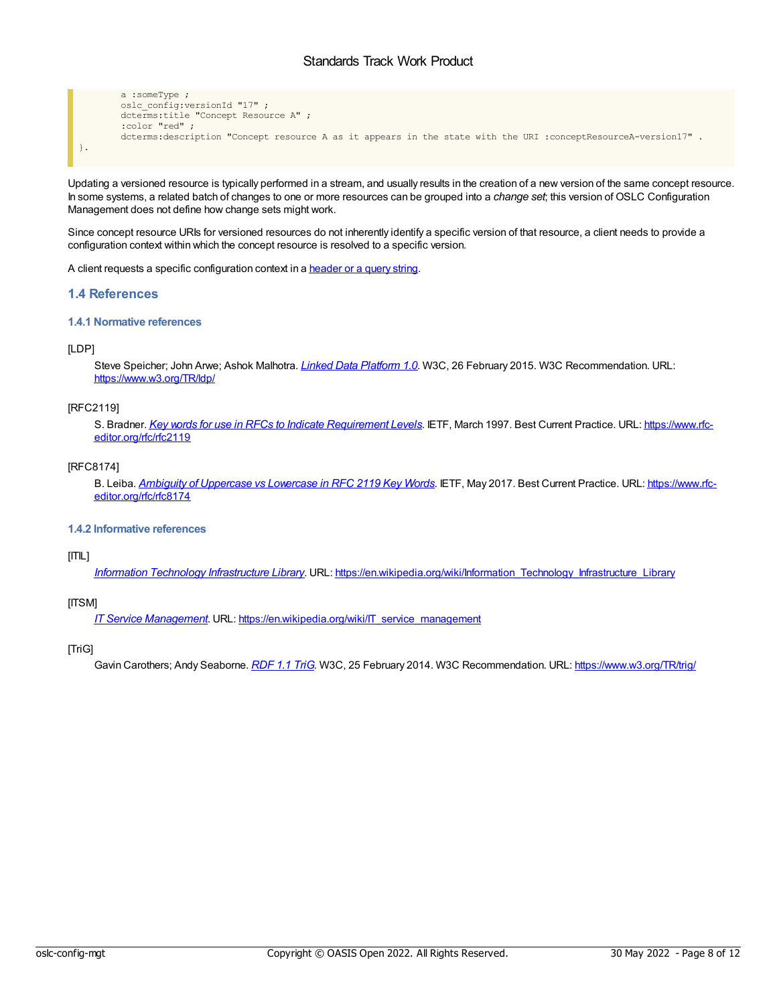#### Standards Track Work Product

```
a :someType ;
       oslc_config:versionId "17" ;
        dcterms:title "Concept Resource A" ;
        :color "red" ;
        dcterms:description "Concept resource A as it appears in the state with the URI :conceptResourceA-version17" .
}.
```
Updating a versioned resource is typically performed in a stream, and usually results in the creation of a new version of the same concept resource. In some systems, a related batch of changes to one or more resources can be grouped into a *change set*; this version of OSLC Configuration Management does not define how change sets might work.

Since concept resource URIs for versioned resources do not inherently identify a specific version of that resource, a client needs to provide a configuration context within which the concept resource is resolved to a specific version.

A client requests a specific configuration context in a [header](https://docs.oasis-open-projects.org/oslc-op/config/v1.0/ps01/config-resources.html#configcontext) or a query string.

#### <span id="page-7-0"></span>**1.4 References**

#### <span id="page-7-1"></span>**1.4.1 Normative references**

#### <span id="page-7-7"></span>[LDP]

Steve Speicher; John Arwe; Ashok Malhotra. *Linked Data [Platform](https://www.w3.org/TR/ldp/) 1.0*. W3C, 26 February 2015. W3C Recommendation. URL: <https://www.w3.org/TR/ldp/>

#### <span id="page-7-5"></span>[RFC2119]

S. Bradner. *Key words for use in RFCs to Indicate [Requirement](https://www.rfc-editor.org/rfc/rfc2119) Levels*. IETF, March 1997. Best Current Practice. URL: https://www.rfc[editor.org/rfc/rfc2119](https://www.rfc-editor.org/rfc/rfc2119)

#### <span id="page-7-6"></span>[RFC8174]

B. Leiba. *Ambiguity of [Uppercase](https://www.rfc-editor.org/rfc/rfc8174) vs Lowercase in RFC 2119 Key Words*. IETF, May 2017. Best Current Practice. URL: https://www.rfc[editor.org/rfc/rfc8174](https://www.rfc-editor.org/rfc/rfc8174)

#### <span id="page-7-2"></span>**1.4.2 Informative references**

#### <span id="page-7-3"></span>[ITIL]

*Information Technology [Infrastructure](https://en.wikipedia.org/wiki/Information_Technology_Infrastructure_Library) Library*. URL: [https://en.wikipedia.org/wiki/Information\\_Technology\\_Infrastructure\\_Library](https://en.wikipedia.org/wiki/Information_Technology_Infrastructure_Library)

#### <span id="page-7-4"></span>[ITSM]

*IT Service [Management](https://en.wikipedia.org/wiki/IT_service_management)*. URL: [https://en.wikipedia.org/wiki/IT\\_service\\_management](https://en.wikipedia.org/wiki/IT_service_management)

#### <span id="page-7-8"></span>[TriG]

Gavin Carothers; Andy Seaborne. *[RDF](https://www.w3.org/TR/trig/) 1.1 TriG*. W3C, 25 February 2014. W3C Recommendation. URL: <https://www.w3.org/TR/trig/>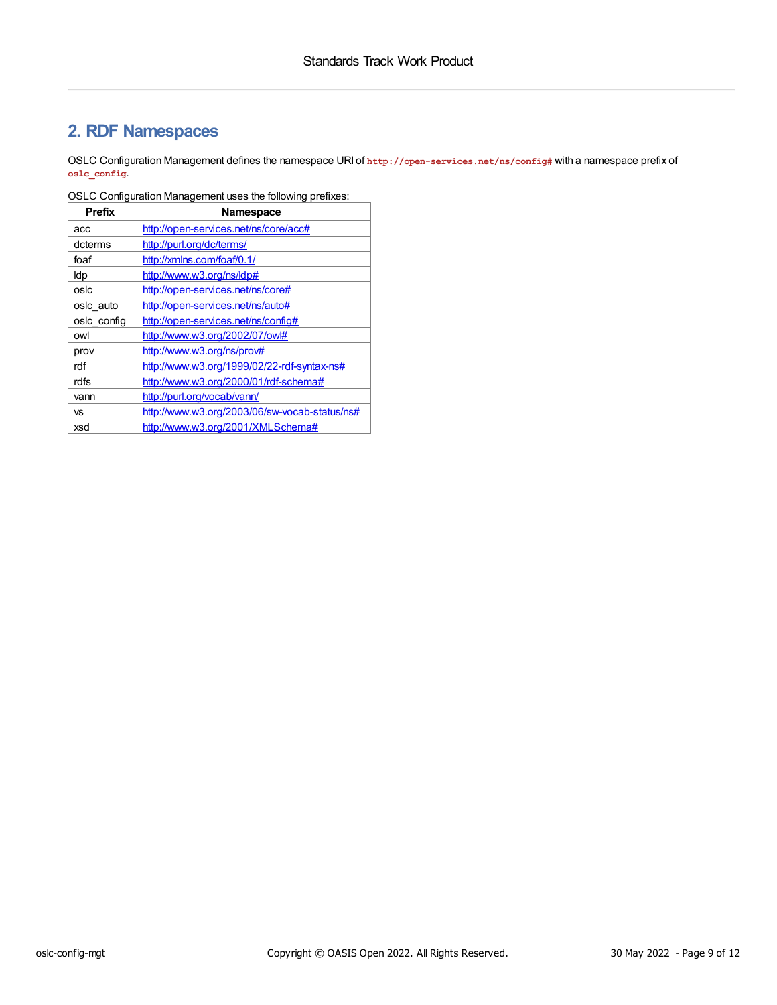# <span id="page-8-0"></span>**2. RDF Namespaces**

OSLC Configuration Management defines the namespace URI of **http://open-services.net/ns/config#** with a namespace prefix of **oslc\_config**.

| Prefix      | Namespace                                     |
|-------------|-----------------------------------------------|
| acc         | http://open-services.net/ns/core/acc#         |
| dcterms     | http://purl.org/dc/terms/                     |
| foaf        | http://xmlns.com/foaf/0.1/                    |
| ldp         | http://www.w3.org/ns/ldp#                     |
| oslc        | http://open-services.net/ns/core#             |
| oslc auto   | http://open-services.net/ns/auto#             |
| osic config | http://open-services.net/ns/config#           |
| owl         | http://www.w3.org/2002/07/owl#                |
| prov        | http://www.w3.org/ns/prov#                    |
| rdf         | http://www.w3.org/1999/02/22-rdf-syntax-ns#   |
| rdfs        | http://www.w3.org/2000/01/rdf-schema#         |
| vann        | http://purl.org/vocab/vann/                   |
| <b>VS</b>   | http://www.w3.org/2003/06/sw-vocab-status/ns# |
| xsd         | http://www.w3.org/2001/XMLSchema#             |

OSLC Configuration Management uses the following prefixes: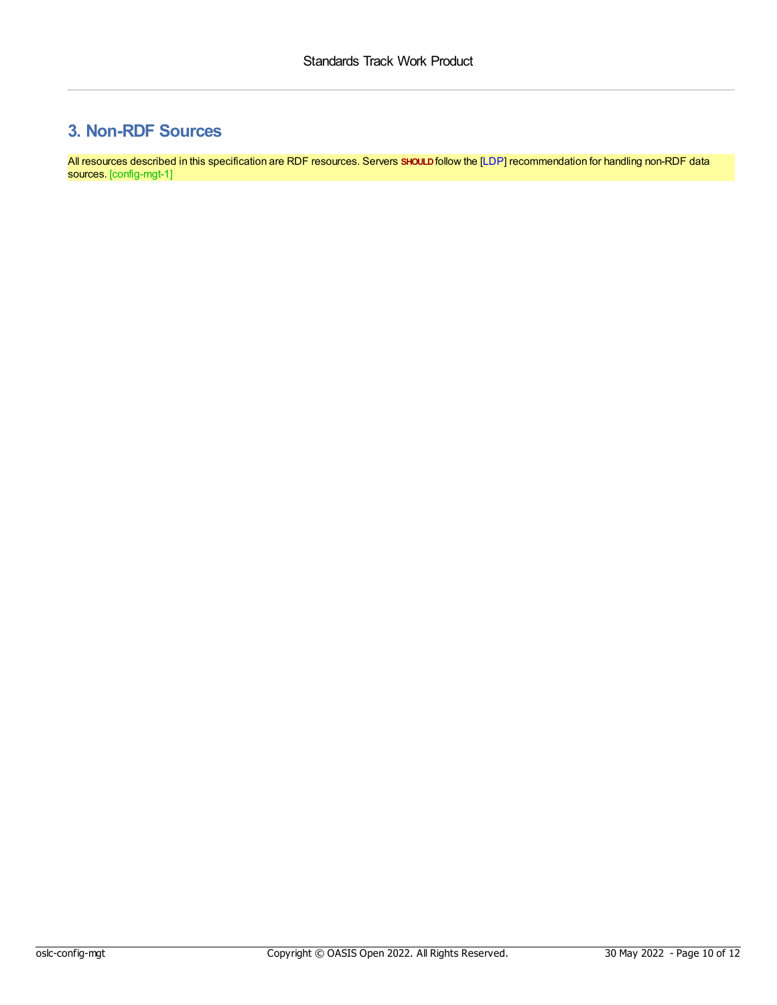# <span id="page-9-0"></span>**3. Non-RDF Sources**

<span id="page-9-1"></span>All resources described in this specification are RDF resources. Servers **SHOULD**follow the [\[LDP](#page-7-7)] recommendation for handling non-RDF data sources. [config-mgt-1]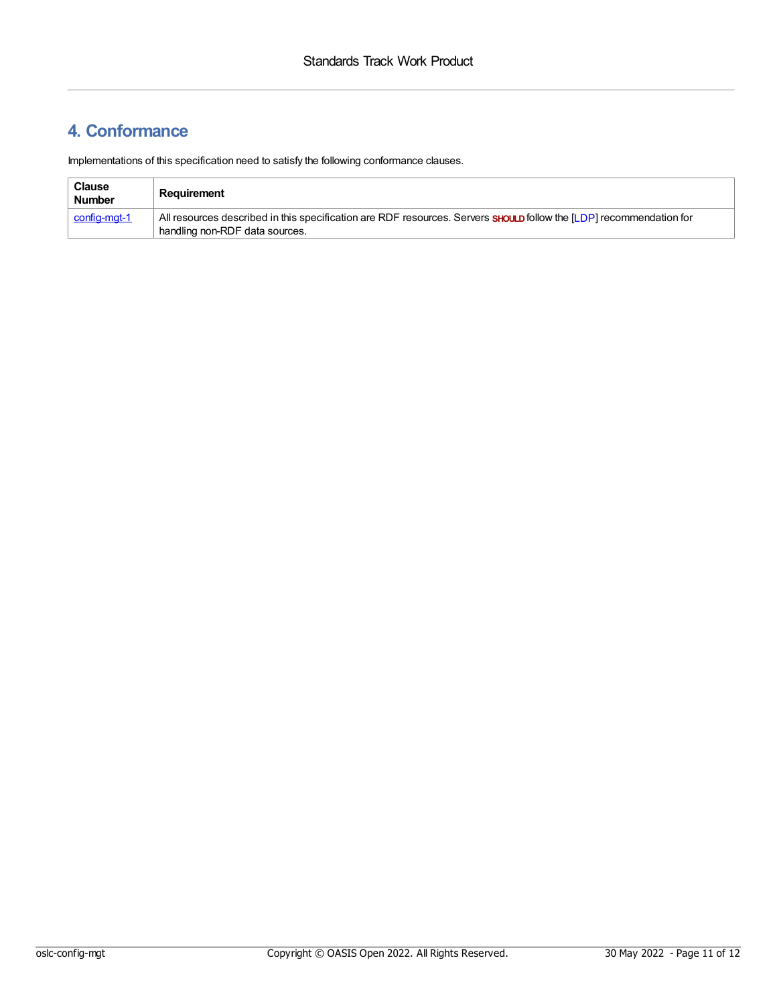# <span id="page-10-0"></span>**4. Conformance**

Implementations of this specification need to satisfy the following conformance clauses.

| <b>Clause</b><br><b>Number</b> | Reauirement                                                                                                                |
|--------------------------------|----------------------------------------------------------------------------------------------------------------------------|
| <u>  config-mgt-1</u>          | All resources described in this specification are RDF resources. Servers <b>SHOULD</b> follow the [LDP] recommendation for |
|                                | handling non-RDF data sources.                                                                                             |